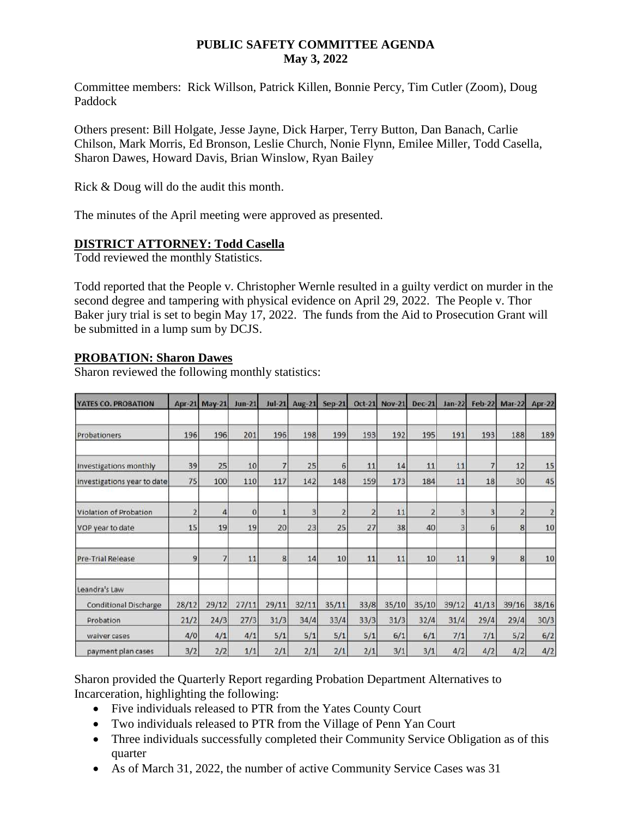### **PUBLIC SAFETY COMMITTEE AGENDA May 3, 2022**

Committee members: Rick Willson, Patrick Killen, Bonnie Percy, Tim Cutler (Zoom), Doug Paddock

Others present: Bill Holgate, Jesse Jayne, Dick Harper, Terry Button, Dan Banach, Carlie Chilson, Mark Morris, Ed Bronson, Leslie Church, Nonie Flynn, Emilee Miller, Todd Casella, Sharon Dawes, Howard Davis, Brian Winslow, Ryan Bailey

Rick & Doug will do the audit this month.

The minutes of the April meeting were approved as presented.

# **DISTRICT ATTORNEY: Todd Casella**

Todd reviewed the monthly Statistics.

Todd reported that the People v. Christopher Wernle resulted in a guilty verdict on murder in the second degree and tampering with physical evidence on April 29, 2022. The People v. Thor Baker jury trial is set to begin May 17, 2022. The funds from the Aid to Prosecution Grant will be submitted in a lump sum by DCJS.

#### **PROBATION: Sharon Dawes**

Sharon reviewed the following monthly statistics:

| <b>YATES CO. PROBATION</b>   |                | Apr-21 May-21 | $Jun-21$    | $Jul-21$     | <b>Aug-21</b> | <b>Sep-21</b>  | $Oct-21$ | <b>Nov-21</b> | <b>Dec-21</b> | $Jan-22$ | <b>Feb-22</b> | <b>Mar-22</b>  | <b>Apr-22</b> |
|------------------------------|----------------|---------------|-------------|--------------|---------------|----------------|----------|---------------|---------------|----------|---------------|----------------|---------------|
| Probationers                 | 196            | 196           | 201         | 196          | 198           | 199            | 193      | 192           | 195           | 191      | 193           | 188            | 189           |
| Investigations monthly       | 39             | 25            | 10          | 7            | 25            | 6              | 11       | 14            | 11            | 11       |               | 12             | 15            |
| investigations year to date  | 75             | 100           | 110         | 117          | 142           | 148            | 159      | 173           | 184           | 11       | 18            | 30             | 45            |
| Violation of Probation       | $\overline{2}$ | 4             | $\mathbf 0$ | $\mathbf{1}$ | 3             | $\overline{2}$ | 2        | 11            | 2             | 3        | 3             | $\overline{2}$ | 2             |
| VOP year to date             | 15             | 19            | 19          | 20           | 23            | 25             | 27       | 38            | 40            | 3        | 6             | 8              | 10            |
| <b>Pre-Trial Release</b>     | 9              |               | 11          | 8            | 14            | 10             | 11       | 11            | 10            | 11       | 9             | 8              | 10            |
| Leandra's Law                |                |               |             |              |               |                |          |               |               |          |               |                |               |
| <b>Conditional Discharge</b> | 28/12          | 29/12         | 27/11       | 29/11        | 32/11         | 35/11          | 33/8     | 35/10         | 35/10         | 39/12    | 41/13         | 39/16          | 38/16         |
| Probation                    | 21/2           | 24/3          | 27/3        | 31/3         | 34/4          | 33/4           | 33/3     | 31/3          | 32/4          | 31/4     | 29/4          | 29/4           | 30/3          |
| waiver cases                 | 4/0            | 4/1           | 4/1         | 5/1          | 5/1           | 5/1            | 5/1      | 6/1           | 6/1           | 7/1      | 7/1           | 5/2            | 6/2           |
| payment plan cases           | 3/2            | 2/2           | 1/1         | 2/1          | 2/1           | 2/1            | 2/1      | 3/1           | 3/1           | 4/2      | 4/2           | 4/2            | 4/2           |

Sharon provided the Quarterly Report regarding Probation Department Alternatives to Incarceration, highlighting the following:

- Five individuals released to PTR from the Yates County Court
- Two individuals released to PTR from the Village of Penn Yan Court
- Three individuals successfully completed their Community Service Obligation as of this quarter
- As of March 31, 2022, the number of active Community Service Cases was 31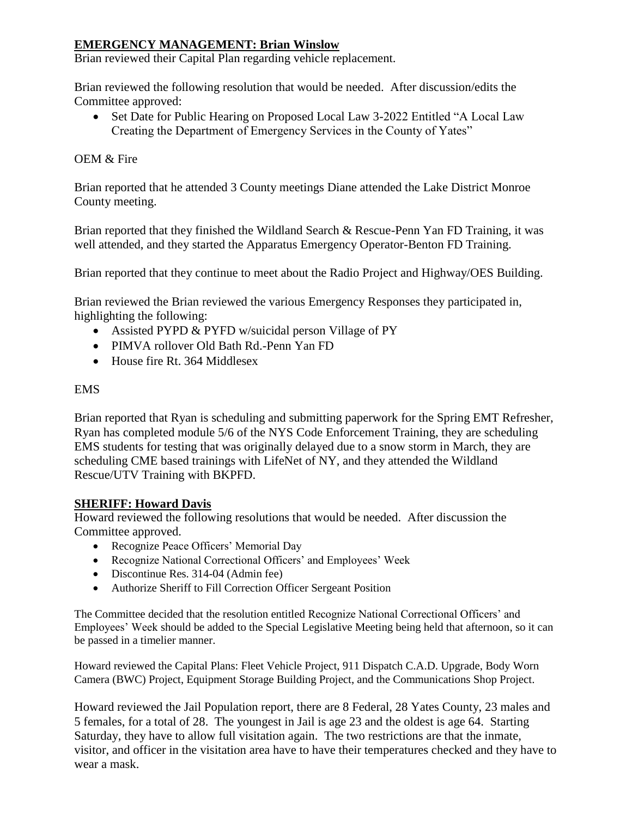# **EMERGENCY MANAGEMENT: Brian Winslow**

Brian reviewed their Capital Plan regarding vehicle replacement.

Brian reviewed the following resolution that would be needed. After discussion/edits the Committee approved:

• Set Date for Public Hearing on Proposed Local Law 3-2022 Entitled "A Local Law" Creating the Department of Emergency Services in the County of Yates"

### OEM & Fire

Brian reported that he attended 3 County meetings Diane attended the Lake District Monroe County meeting.

Brian reported that they finished the Wildland Search & Rescue-Penn Yan FD Training, it was well attended, and they started the Apparatus Emergency Operator-Benton FD Training.

Brian reported that they continue to meet about the Radio Project and Highway/OES Building.

Brian reviewed the Brian reviewed the various Emergency Responses they participated in, highlighting the following:

- Assisted PYPD & PYFD w/suicidal person Village of PY
- PIMVA rollover Old Bath Rd.-Penn Yan FD
- House fire Rt. 364 Middlesex

#### EMS

Brian reported that Ryan is scheduling and submitting paperwork for the Spring EMT Refresher, Ryan has completed module 5/6 of the NYS Code Enforcement Training, they are scheduling EMS students for testing that was originally delayed due to a snow storm in March, they are scheduling CME based trainings with LifeNet of NY, and they attended the Wildland Rescue/UTV Training with BKPFD.

#### **SHERIFF: Howard Davis**

Howard reviewed the following resolutions that would be needed. After discussion the Committee approved.

- Recognize Peace Officers' Memorial Day
- Recognize National Correctional Officers' and Employees' Week
- Discontinue Res. 314-04 (Admin fee)
- Authorize Sheriff to Fill Correction Officer Sergeant Position

The Committee decided that the resolution entitled Recognize National Correctional Officers' and Employees' Week should be added to the Special Legislative Meeting being held that afternoon, so it can be passed in a timelier manner.

Howard reviewed the Capital Plans: Fleet Vehicle Project, 911 Dispatch C.A.D. Upgrade, Body Worn Camera (BWC) Project, Equipment Storage Building Project, and the Communications Shop Project.

Howard reviewed the Jail Population report, there are 8 Federal, 28 Yates County, 23 males and 5 females, for a total of 28. The youngest in Jail is age 23 and the oldest is age 64. Starting Saturday, they have to allow full visitation again. The two restrictions are that the inmate, visitor, and officer in the visitation area have to have their temperatures checked and they have to wear a mask.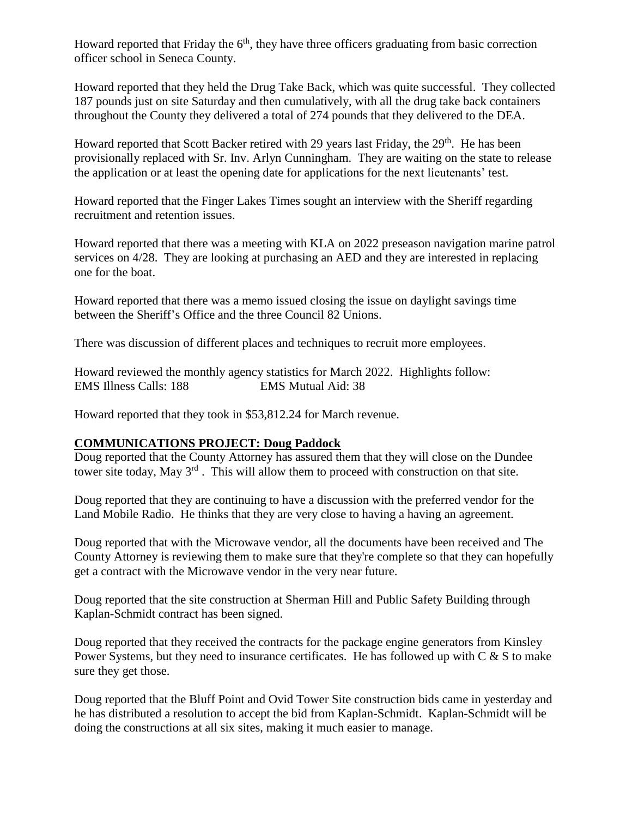Howard reported that Friday the  $6<sup>th</sup>$ , they have three officers graduating from basic correction officer school in Seneca County.

Howard reported that they held the Drug Take Back, which was quite successful. They collected 187 pounds just on site Saturday and then cumulatively, with all the drug take back containers throughout the County they delivered a total of 274 pounds that they delivered to the DEA.

Howard reported that Scott Backer retired with 29 years last Friday, the 29<sup>th</sup>. He has been provisionally replaced with Sr. Inv. Arlyn Cunningham. They are waiting on the state to release the application or at least the opening date for applications for the next lieutenants' test.

Howard reported that the Finger Lakes Times sought an interview with the Sheriff regarding recruitment and retention issues.

Howard reported that there was a meeting with KLA on 2022 preseason navigation marine patrol services on 4/28. They are looking at purchasing an AED and they are interested in replacing one for the boat.

Howard reported that there was a memo issued closing the issue on daylight savings time between the Sheriff's Office and the three Council 82 Unions.

There was discussion of different places and techniques to recruit more employees.

Howard reviewed the monthly agency statistics for March 2022. Highlights follow: EMS Illness Calls: 188 EMS Mutual Aid: 38

Howard reported that they took in \$53,812.24 for March revenue.

# **COMMUNICATIONS PROJECT: Doug Paddock**

Doug reported that the County Attorney has assured them that they will close on the Dundee tower site today, May 3<sup>rd</sup>. This will allow them to proceed with construction on that site.

Doug reported that they are continuing to have a discussion with the preferred vendor for the Land Mobile Radio. He thinks that they are very close to having a having an agreement.

Doug reported that with the Microwave vendor, all the documents have been received and The County Attorney is reviewing them to make sure that they're complete so that they can hopefully get a contract with the Microwave vendor in the very near future.

Doug reported that the site construction at Sherman Hill and Public Safety Building through Kaplan-Schmidt contract has been signed.

Doug reported that they received the contracts for the package engine generators from Kinsley Power Systems, but they need to insurance certificates. He has followed up with  $C & S$  to make sure they get those.

Doug reported that the Bluff Point and Ovid Tower Site construction bids came in yesterday and he has distributed a resolution to accept the bid from Kaplan-Schmidt. Kaplan-Schmidt will be doing the constructions at all six sites, making it much easier to manage.